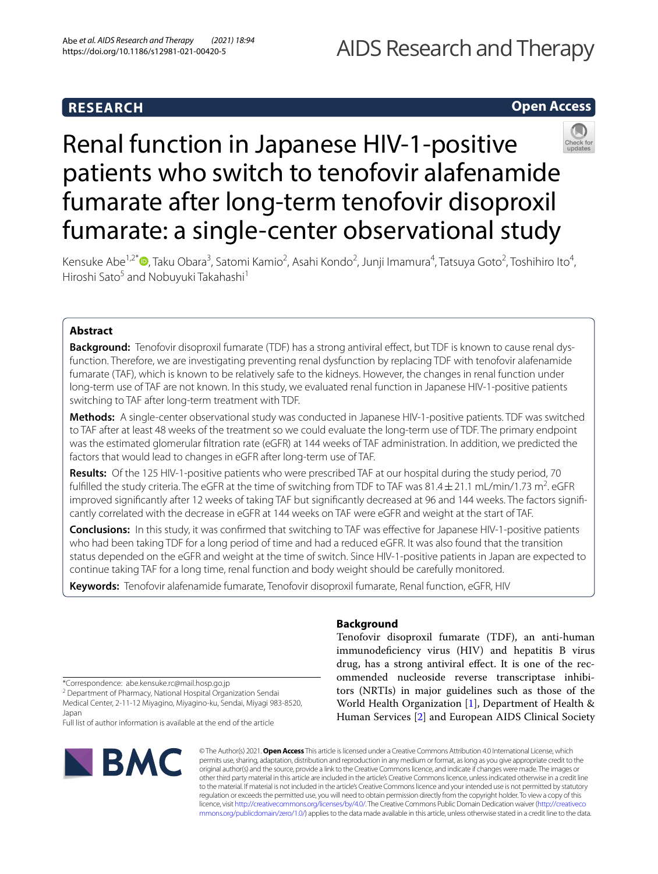# **RESEARCH**

# **Open Access**



# Renal function in Japanese HIV-1-positive patients who switch to tenofovir alafenamide fumarate after long-term tenofovir disoproxil fumarate: a single-center observational study

Kensuke Abe<sup>1,2[\\*](http://orcid.org/0000-0003-3832-605X)</sup> (D, Taku Obara<sup>3</sup>, Satomi Kamio<sup>2</sup>, Asahi Kondo<sup>2</sup>, Junji Imamura<sup>4</sup>, Tatsuya Goto<sup>2</sup>, Toshihiro Ito<sup>4</sup>, Hiroshi Sato<sup>5</sup> and Nobuyuki Takahashi<sup>1</sup>

# **Abstract**

**Background:** Tenofovir disoproxil fumarate (TDF) has a strong antiviral efect, but TDF is known to cause renal dysfunction. Therefore, we are investigating preventing renal dysfunction by replacing TDF with tenofovir alafenamide fumarate (TAF), which is known to be relatively safe to the kidneys. However, the changes in renal function under long-term use of TAF are not known. In this study, we evaluated renal function in Japanese HIV-1-positive patients switching to TAF after long-term treatment with TDF.

**Methods:** A single-center observational study was conducted in Japanese HIV-1-positive patients. TDF was switched to TAF after at least 48 weeks of the treatment so we could evaluate the long-term use of TDF. The primary endpoint was the estimated glomerular fltration rate (eGFR) at 144 weeks of TAF administration. In addition, we predicted the factors that would lead to changes in eGFR after long-term use of TAF.

**Results:** Of the 125 HIV-1-positive patients who were prescribed TAF at our hospital during the study period, 70 fulfilled the study criteria. The eGFR at the time of switching from TDF to TAF was  $81.4 \pm 21.1$  mL/min/1.73 m<sup>2</sup>. eGFR improved signifcantly after 12 weeks of taking TAF but signifcantly decreased at 96 and 144 weeks. The factors signifcantly correlated with the decrease in eGFR at 144 weeks on TAF were eGFR and weight at the start of TAF.

**Conclusions:** In this study, it was confrmed that switching to TAF was efective for Japanese HIV-1-positive patients who had been taking TDF for a long period of time and had a reduced eGFR. It was also found that the transition status depended on the eGFR and weight at the time of switch. Since HIV-1-positive patients in Japan are expected to continue taking TAF for a long time, renal function and body weight should be carefully monitored.

**Keywords:** Tenofovir alafenamide fumarate, Tenofovir disoproxil fumarate, Renal function, eGFR, HIV

# **Background**

Tenofovir disoproxil fumarate (TDF), an anti-human immunodefciency virus (HIV) and hepatitis B virus drug, has a strong antiviral efect. It is one of the recommended nucleoside reverse transcriptase inhibitors (NRTIs) in major guidelines such as those of the World Health Organization [\[1\]](#page-10-0), Department of Health & Human Services [[2\]](#page-10-1) and European AIDS Clinical Society

\*Correspondence: abe.kensuke.rc@mail.hosp.go.jp

<sup>2</sup> Department of Pharmacy, National Hospital Organization Sendai Medical Center, 2-11-12 Miyagino, Miyagino-ku, Sendai, Miyagi 983-8520, Japan

Full list of author information is available at the end of the article



© The Author(s) 2021. **Open Access** This article is licensed under a Creative Commons Attribution 4.0 International License, which permits use, sharing, adaptation, distribution and reproduction in any medium or format, as long as you give appropriate credit to the original author(s) and the source, provide a link to the Creative Commons licence, and indicate if changes were made. The images or other third party material in this article are included in the article's Creative Commons licence, unless indicated otherwise in a credit line to the material. If material is not included in the article's Creative Commons licence and your intended use is not permitted by statutory regulation or exceeds the permitted use, you will need to obtain permission directly from the copyright holder. To view a copy of this licence, visit [http://creativecommons.org/licenses/by/4.0/.](http://creativecommons.org/licenses/by/4.0/) The Creative Commons Public Domain Dedication waiver ([http://creativeco](http://creativecommons.org/publicdomain/zero/1.0/) [mmons.org/publicdomain/zero/1.0/](http://creativecommons.org/publicdomain/zero/1.0/)) applies to the data made available in this article, unless otherwise stated in a credit line to the data.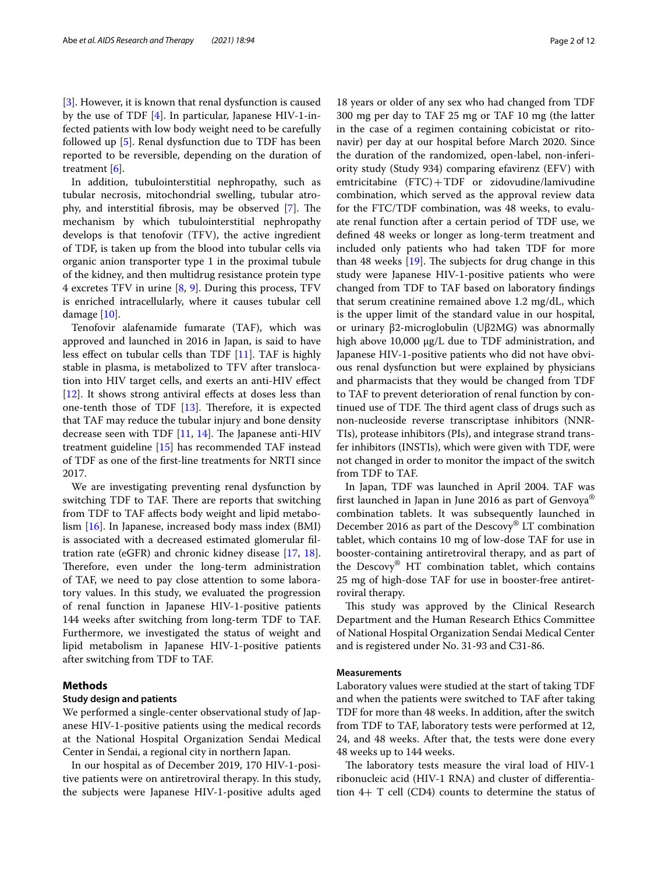[[3\]](#page-10-2). However, it is known that renal dysfunction is caused by the use of TDF [[4\]](#page-10-3). In particular, Japanese HIV-1-infected patients with low body weight need to be carefully followed up [[5\]](#page-10-4). Renal dysfunction due to TDF has been reported to be reversible, depending on the duration of treatment [[6\]](#page-10-5).

In addition, tubulointerstitial nephropathy, such as tubular necrosis, mitochondrial swelling, tubular atro-phy, and interstitial fibrosis, may be observed [\[7](#page-10-6)]. The mechanism by which tubulointerstitial nephropathy develops is that tenofovir (TFV), the active ingredient of TDF, is taken up from the blood into tubular cells via organic anion transporter type 1 in the proximal tubule of the kidney, and then multidrug resistance protein type 4 excretes TFV in urine [[8,](#page-10-7) [9\]](#page-10-8). During this process, TFV is enriched intracellularly, where it causes tubular cell damage [[10\]](#page-10-9).

Tenofovir alafenamide fumarate (TAF), which was approved and launched in 2016 in Japan, is said to have less efect on tubular cells than TDF [[11](#page-10-10)]. TAF is highly stable in plasma, is metabolized to TFV after translocation into HIV target cells, and exerts an anti-HIV efect  $[12]$  $[12]$ . It shows strong antiviral effects at doses less than one-tenth those of TDF  $[13]$  $[13]$ . Therefore, it is expected that TAF may reduce the tubular injury and bone density decrease seen with TDF  $[11, 14]$  $[11, 14]$  $[11, 14]$  $[11, 14]$ . The Japanese anti-HIV treatment guideline [\[15](#page-10-14)] has recommended TAF instead of TDF as one of the frst-line treatments for NRTI since 2017.

We are investigating preventing renal dysfunction by switching TDF to TAF. There are reports that switching from TDF to TAF afects body weight and lipid metabolism [\[16](#page-10-15)]. In Japanese, increased body mass index (BMI) is associated with a decreased estimated glomerular fltration rate (eGFR) and chronic kidney disease [[17,](#page-10-16) [18](#page-10-17)]. Therefore, even under the long-term administration of TAF, we need to pay close attention to some laboratory values. In this study, we evaluated the progression of renal function in Japanese HIV-1-positive patients 144 weeks after switching from long-term TDF to TAF. Furthermore, we investigated the status of weight and lipid metabolism in Japanese HIV-1-positive patients after switching from TDF to TAF.

# **Methods**

# **Study design and patients**

We performed a single-center observational study of Japanese HIV-1-positive patients using the medical records at the National Hospital Organization Sendai Medical Center in Sendai, a regional city in northern Japan.

In our hospital as of December 2019, 170 HIV-1-positive patients were on antiretroviral therapy. In this study, the subjects were Japanese HIV-1-positive adults aged

18 years or older of any sex who had changed from TDF 300 mg per day to TAF 25 mg or TAF 10 mg (the latter in the case of a regimen containing cobicistat or ritonavir) per day at our hospital before March 2020. Since the duration of the randomized, open-label, non-inferiority study (Study 934) comparing efavirenz (EFV) with emtricitabine  $(FTC) + TDF$  or zidovudine/lamivudine combination, which served as the approval review data for the FTC/TDF combination, was 48 weeks, to evaluate renal function after a certain period of TDF use, we defned 48 weeks or longer as long-term treatment and included only patients who had taken TDF for more than 48 weeks  $[19]$  $[19]$ . The subjects for drug change in this study were Japanese HIV-1-positive patients who were changed from TDF to TAF based on laboratory fndings that serum creatinine remained above 1.2 mg/dL, which is the upper limit of the standard value in our hospital, or urinary β2-microglobulin (Uβ2MG) was abnormally high above 10,000 μg/L due to TDF administration, and Japanese HIV-1-positive patients who did not have obvious renal dysfunction but were explained by physicians and pharmacists that they would be changed from TDF to TAF to prevent deterioration of renal function by continued use of TDF. The third agent class of drugs such as non-nucleoside reverse transcriptase inhibitors (NNR-TIs), protease inhibitors (PIs), and integrase strand transfer inhibitors (INSTIs), which were given with TDF, were not changed in order to monitor the impact of the switch from TDF to TAF.

In Japan, TDF was launched in April 2004. TAF was frst launched in Japan in June 2016 as part of Genvoya® combination tablets. It was subsequently launched in December 2016 as part of the Descovy® LT combination tablet, which contains 10 mg of low-dose TAF for use in booster-containing antiretroviral therapy, and as part of the Descovy® HT combination tablet, which contains 25 mg of high-dose TAF for use in booster-free antiretroviral therapy.

This study was approved by the Clinical Research Department and the Human Research Ethics Committee of National Hospital Organization Sendai Medical Center and is registered under No. 31-93 and C31-86.

# **Measurements**

Laboratory values were studied at the start of taking TDF and when the patients were switched to TAF after taking TDF for more than 48 weeks. In addition, after the switch from TDF to TAF, laboratory tests were performed at 12, 24, and 48 weeks. After that, the tests were done every 48 weeks up to 144 weeks.

The laboratory tests measure the viral load of HIV-1 ribonucleic acid (HIV-1 RNA) and cluster of diferentiation 4+ T cell (CD4) counts to determine the status of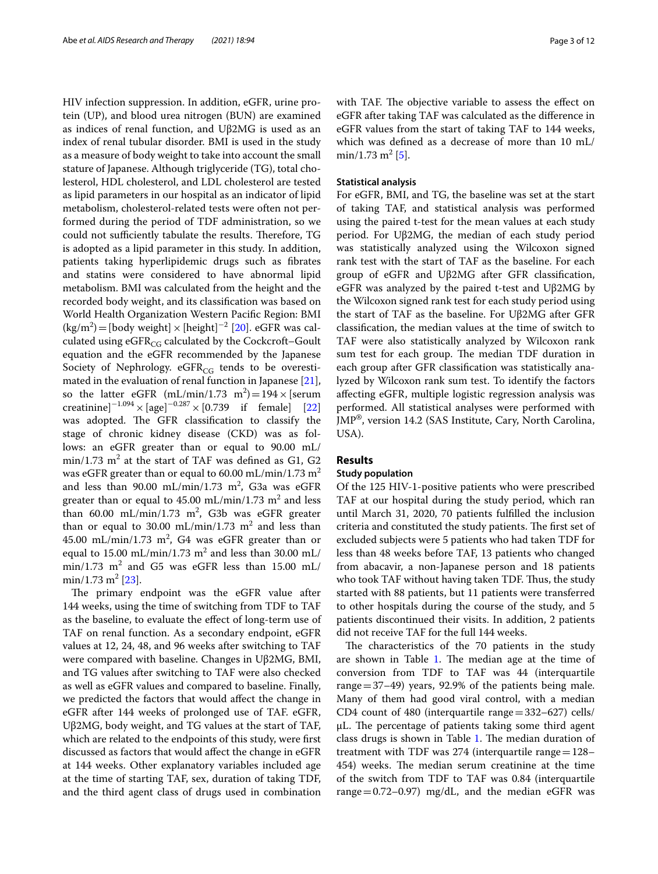HIV infection suppression. In addition, eGFR, urine protein (UP), and blood urea nitrogen (BUN) are examined as indices of renal function, and Uβ2MG is used as an index of renal tubular disorder. BMI is used in the study as a measure of body weight to take into account the small stature of Japanese. Although triglyceride (TG), total cholesterol, HDL cholesterol, and LDL cholesterol are tested as lipid parameters in our hospital as an indicator of lipid metabolism, cholesterol-related tests were often not performed during the period of TDF administration, so we could not sufficiently tabulate the results. Therefore, TG is adopted as a lipid parameter in this study. In addition, patients taking hyperlipidemic drugs such as fbrates and statins were considered to have abnormal lipid metabolism. BMI was calculated from the height and the recorded body weight, and its classifcation was based on World Health Organization Western Pacifc Region: BMI  $(\text{kg/m}^2)$ =[body weight] × [height]<sup>-2</sup> [[20](#page-10-19)]. eGFR was calculated using  $eGFR_{CG}$  calculated by the Cockcroft–Goult equation and the eGFR recommended by the Japanese Society of Nephrology.  $eGFR_{CG}$  tends to be overestimated in the evaluation of renal function in Japanese [\[21](#page-10-20)], so the latter eGFR  $(mL/min/1.73 \text{ m}^2) = 194 \times \text{[serum]}$ creatinine]<sup>−1.094</sup> × [age]<sup>−0.287</sup> × [0.739 if female] [[22](#page-10-21)] was adopted. The GFR classification to classify the stage of chronic kidney disease (CKD) was as follows: an eGFR greater than or equal to 90.00 mL/  $min/1.73$   $m^2$  at the start of TAF was defined as G1, G2 was eGFR greater than or equal to 60.00 mL/min/1.73  $m<sup>2</sup>$ and less than  $90.00 \text{ mL/min}/1.73 \text{ m}^2$ , G3a was eGFR greater than or equal to  $45.00 \text{ mL/min}/1.73 \text{ m}^2$  and less than 60.00 mL/min/1.73 m<sup>2</sup>, G3b was eGFR greater than or equal to 30.00 mL/min/1.73  $m^2$  and less than  $45.00 \text{ mL/min}/1.73 \text{ m}^2$ , G4 was eGFR greater than or equal to 15.00 mL/min/1.73  $\text{m}^2$  and less than 30.00 mL/  $min/1.73$   $m^2$  and G5 was eGFR less than 15.00 mL/  $min/1.73 \text{ m}^2 [23]$  $min/1.73 \text{ m}^2 [23]$ .

The primary endpoint was the eGFR value after 144 weeks, using the time of switching from TDF to TAF as the baseline, to evaluate the efect of long-term use of TAF on renal function. As a secondary endpoint, eGFR values at 12, 24, 48, and 96 weeks after switching to TAF were compared with baseline. Changes in Uβ2MG, BMI, and TG values after switching to TAF were also checked as well as eGFR values and compared to baseline. Finally, we predicted the factors that would afect the change in eGFR after 144 weeks of prolonged use of TAF. eGFR, Uβ2MG, body weight, and TG values at the start of TAF, which are related to the endpoints of this study, were frst discussed as factors that would afect the change in eGFR at 144 weeks. Other explanatory variables included age at the time of starting TAF, sex, duration of taking TDF, and the third agent class of drugs used in combination with TAF. The objective variable to assess the effect on eGFR after taking TAF was calculated as the diference in eGFR values from the start of taking TAF to 144 weeks, which was defned as a decrease of more than 10 mL/  $min/1.73 \text{ m}^2 [5]$  $min/1.73 \text{ m}^2 [5]$  $min/1.73 \text{ m}^2 [5]$ .

## **Statistical analysis**

For eGFR, BMI, and TG, the baseline was set at the start of taking TAF, and statistical analysis was performed using the paired t-test for the mean values at each study period. For Uβ2MG, the median of each study period was statistically analyzed using the Wilcoxon signed rank test with the start of TAF as the baseline. For each group of eGFR and Uβ2MG after GFR classifcation, eGFR was analyzed by the paired t-test and Uβ2MG by the Wilcoxon signed rank test for each study period using the start of TAF as the baseline. For Uβ2MG after GFR classifcation, the median values at the time of switch to TAF were also statistically analyzed by Wilcoxon rank sum test for each group. The median TDF duration in each group after GFR classifcation was statistically analyzed by Wilcoxon rank sum test. To identify the factors afecting eGFR, multiple logistic regression analysis was performed. All statistical analyses were performed with JMP®, version 14.2 (SAS Institute, Cary, North Carolina, USA).

# **Results**

# **Study population**

Of the 125 HIV-1-positive patients who were prescribed TAF at our hospital during the study period, which ran until March 31, 2020, 70 patients fulflled the inclusion criteria and constituted the study patients. The first set of excluded subjects were 5 patients who had taken TDF for less than 48 weeks before TAF, 13 patients who changed from abacavir, a non-Japanese person and 18 patients who took TAF without having taken TDF. Thus, the study started with 88 patients, but 11 patients were transferred to other hospitals during the course of the study, and 5 patients discontinued their visits. In addition, 2 patients did not receive TAF for the full 144 weeks.

The characteristics of the 70 patients in the study are shown in Table [1.](#page-3-0) The median age at the time of conversion from TDF to TAF was 44 (interquartile range  $=$  37–49) years, 92.9% of the patients being male. Many of them had good viral control, with a median CD4 count of 480 (interquartile range $=$ 332–627) cells/  $\mu$ L. The percentage of patients taking some third agent class drugs is shown in Table [1](#page-3-0). The median duration of treatment with TDF was  $274$  (interquartile range $=128-$ 454) weeks. The median serum creatinine at the time of the switch from TDF to TAF was 0.84 (interquartile range  $= 0.72 - 0.97$ ) mg/dL, and the median eGFR was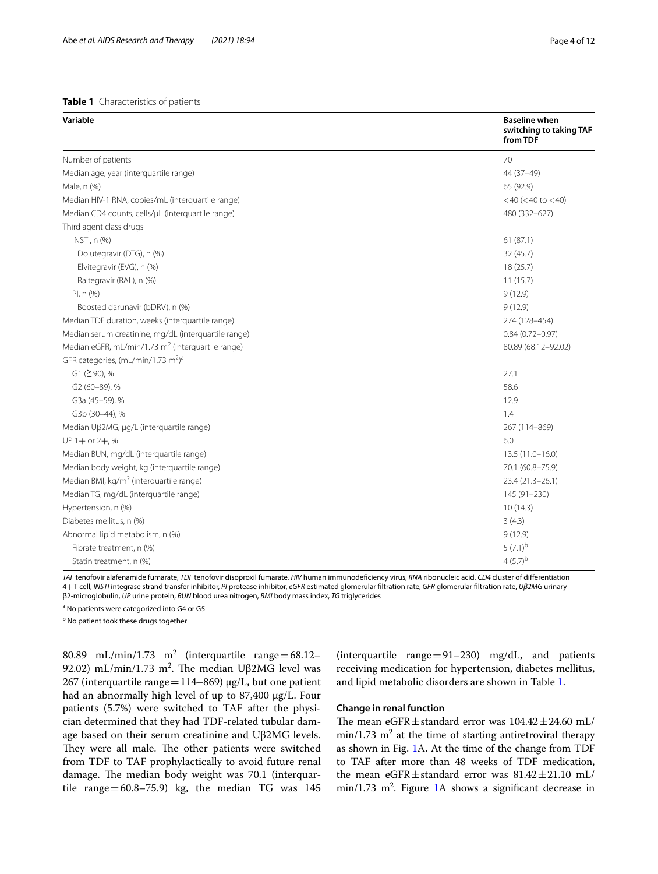# <span id="page-3-0"></span>**Table 1** Characteristics of patients

| Variable                                                      | <b>Baseline when</b><br>switching to taking TAF<br>from TDF |
|---------------------------------------------------------------|-------------------------------------------------------------|
| Number of patients                                            | 70                                                          |
| Median age, year (interquartile range)                        | 44 (37-49)                                                  |
| Male, n (%)                                                   | 65 (92.9)                                                   |
| Median HIV-1 RNA, copies/mL (interquartile range)             | $<$ 40 ( $<$ 40 to $<$ 40)                                  |
| Median CD4 counts, cells/µL (interquartile range)             | 480 (332-627)                                               |
| Third agent class drugs                                       |                                                             |
| INSTI, n (%)                                                  | 61(87.1)                                                    |
| Dolutegravir (DTG), n (%)                                     | 32 (45.7)                                                   |
| Elvitegravir (EVG), n (%)                                     | 18(25.7)                                                    |
| Raltegravir (RAL), n (%)                                      | 11(15.7)                                                    |
| PI, n (%)                                                     | 9(12.9)                                                     |
| Boosted darunavir (bDRV), n (%)                               | 9(12.9)                                                     |
| Median TDF duration, weeks (interquartile range)              | 274 (128-454)                                               |
| Median serum creatinine, mg/dL (interquartile range)          | $0.84(0.72 - 0.97)$                                         |
| Median eGFR, mL/min/1.73 m <sup>2</sup> (interquartile range) | 80.89 (68.12-92.02)                                         |
| GFR categories, (mL/min/1.73 m <sup>2</sup> ) <sup>a</sup>    |                                                             |
| G1 (≧90), %                                                   | 27.1                                                        |
| G2 (60-89), %                                                 | 58.6                                                        |
| G3a (45-59), %                                                | 12.9                                                        |
| G3b (30-44), %                                                | 1.4                                                         |
| Median Uβ2MG, μg/L (interquartile range)                      | 267 (114-869)                                               |
| $UP 1 + or 2 +, %$                                            | 6.0                                                         |
| Median BUN, mg/dL (interquartile range)                       | $13.5(11.0 - 16.0)$                                         |
| Median body weight, kg (interquartile range)                  | 70.1 (60.8-75.9)                                            |
| Median BMI, kg/m <sup>2</sup> (interquartile range)           | 23.4 (21.3-26.1)                                            |
| Median TG, mg/dL (interquartile range)                        | 145 (91-230)                                                |
| Hypertension, n (%)                                           | 10(14.3)                                                    |
| Diabetes mellitus, n (%)                                      | 3(4.3)                                                      |
| Abnormal lipid metabolism, n (%)                              | 9(12.9)                                                     |
| Fibrate treatment, n (%)                                      | $(7.1)^{b}$                                                 |
| Statin treatment, n (%)                                       | $4(5.7)^{b}$                                                |

*TAF* tenofovir alafenamide fumarate, *TDF* tenofovir disoproxil fumarate, *HIV* human immunodefciency virus, *RNA* ribonucleic acid, *CD4* cluster of diferentiation 4+ T cell, *INSTI* integrase strand transfer inhibitor, *PI* protease inhibitor, *eGFR* estimated glomerular fltration rate, *GFR* glomerular fltration rate, *Uβ2MG* urinary β2-microglobulin, *UP* urine protein, *BUN* blood urea nitrogen, *BMI* body mass index, *TG* triglycerides

<sup>a</sup> No patients were categorized into G4 or G5

<sup>b</sup> No patient took these drugs together

80.89 mL/min/1.73  $m^2$  (interquartile range=68.12-92.02) mL/min/1.73 m<sup>2</sup>. The median Uβ2MG level was 267 (interquartile range = 114–869)  $\mu$ g/L, but one patient had an abnormally high level of up to 87,400 μg/L. Four patients (5.7%) were switched to TAF after the physician determined that they had TDF-related tubular damage based on their serum creatinine and Uβ2MG levels. They were all male. The other patients were switched from TDF to TAF prophylactically to avoid future renal damage. The median body weight was 70.1 (interquartile range= $60.8-75.9$ ) kg, the median TG was 145

(interquartile range= $91-230$ ) mg/dL, and patients receiving medication for hypertension, diabetes mellitus, and lipid metabolic disorders are shown in Table [1.](#page-3-0)

# **Change in renal function**

The mean eGFR $\pm$ standard error was  $104.42 \pm 24.60$  mL/  $min/1.73$   $m<sup>2</sup>$  at the time of starting antiretroviral therapy as shown in Fig. [1A](#page-4-0). At the time of the change from TDF to TAF after more than 48 weeks of TDF medication, the mean eGFR $\pm$ standard error was  $81.42 \pm 21.10$  mL/  $min/1.73$  $min/1.73$  $min/1.73$  m<sup>2</sup>. Figure 1A shows a significant decrease in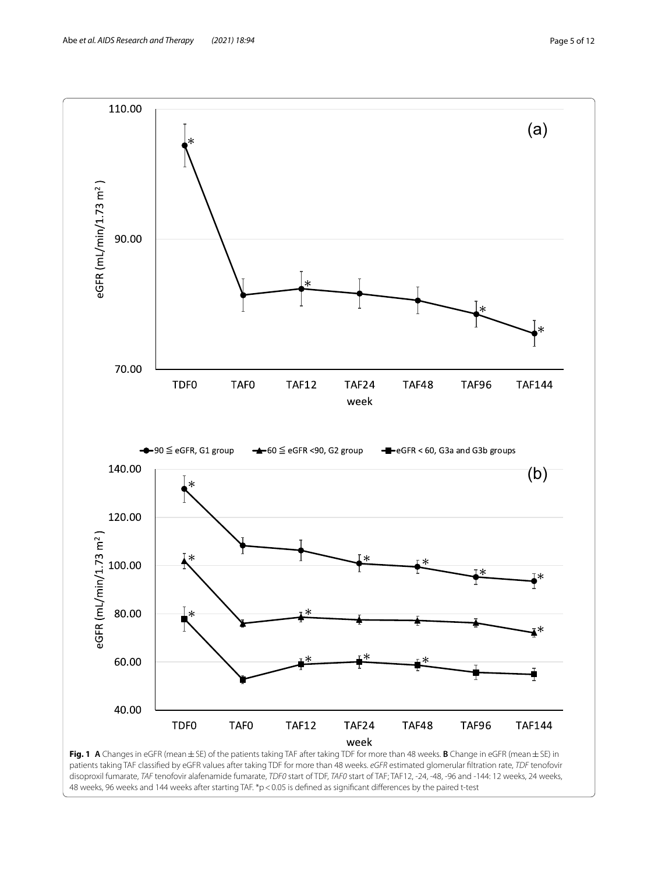

<span id="page-4-0"></span>48 weeks, 96 weeks and 144 weeks after starting TAF. \*p < 0.05 is defined as significant differences by the paired t-test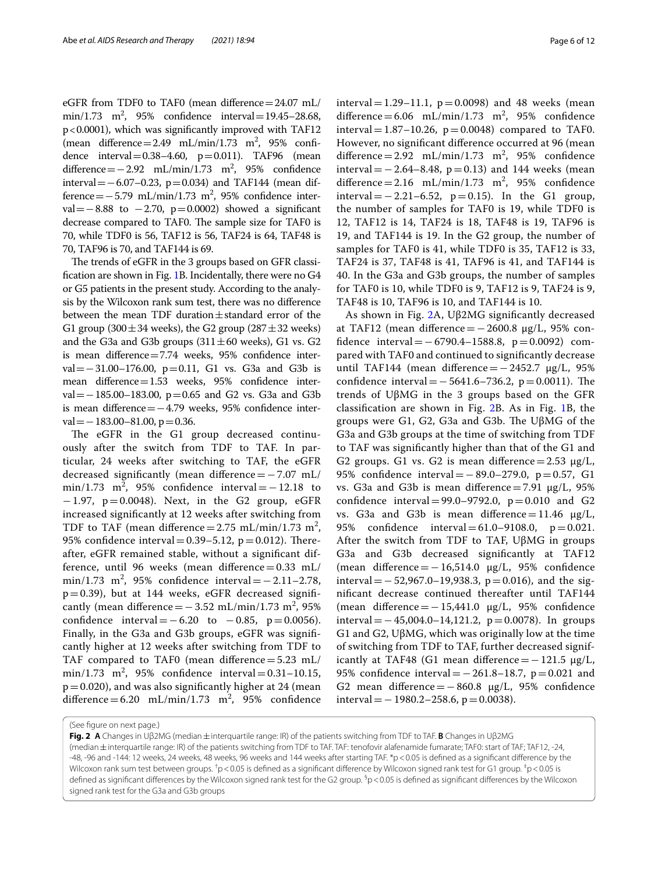eGFR from TDF0 to TAF0 (mean difference=24.07 mL/  $min/1.73$   $m^2$ , 95% confidence interval = 19.45–28.68, p<0.0001), which was signifcantly improved with TAF12  $(\text{mean difference} = 2.49 \text{ mL/min}/1.73 \text{ m}^2, 95\% \text{ confi}$ dence interval =  $0.38-4.60$ , p =  $0.011$ ). TAF96 (mean difference =  $-2.92$  mL/min/1.73 m<sup>2</sup>, 95% confidence interval=−6.07–0.23, p=0.034) and TAF144 (mean dif $f$ ference=−5.79 mL/min/1.73 m<sup>2</sup>, 95% confidence interval =  $-8.88$  to  $-2.70$ , p=0.0002) showed a significant decrease compared to TAF0. The sample size for TAF0 is 70, while TDF0 is 56, TAF12 is 56, TAF24 is 64, TAF48 is 70, TAF96 is 70, and TAF144 is 69.

The trends of eGFR in the 3 groups based on GFR classifcation are shown in Fig. [1](#page-4-0)B. Incidentally, there were no G4 or G5 patients in the present study. According to the analysis by the Wilcoxon rank sum test, there was no diference between the mean TDF duration $\pm$ standard error of the G1 group (300 $\pm$ 34 weeks), the G2 group (287 $\pm$ 32 weeks) and the G3a and G3b groups  $(311 \pm 60$  weeks), G1 vs. G2 is mean diference=7.74 weeks, 95% confdence interval=−31.00–176.00, p=0.11, G1 vs. G3a and G3b is mean diference=1.53 weeks, 95% confdence interval=−185.00–183.00, p=0.65 and G2 vs. G3a and G3b is mean diference=−4.79 weeks, 95% confdence inter $val = -183.00 - 81.00$ , p=0.36.

The eGFR in the G1 group decreased continuously after the switch from TDF to TAF. In particular, 24 weeks after switching to TAF, the eGFR decreased significantly (mean difference =  $-7.07$  mL/  $\text{min}/1.73 \text{ m}^2$ , 95% confidence interval =  $-12.18 \text{ to}$ −1.97, p=0.0048). Next, in the G2 group, eGFR increased signifcantly at 12 weeks after switching from TDF to TAF (mean difference  $= 2.75$  mL/min/1.73 m<sup>2</sup>, 95% confidence interval =  $0.39 - 5.12$ , p = 0.012). Thereafter, eGFR remained stable, without a signifcant difference, until 96 weeks (mean difference $=0.33$  mL/ min/1.73 m<sup>2</sup>, 95% confidence interval =  $-2.11-2.78$ ,  $p=0.39$ ), but at 144 weeks, eGFR decreased significantly (mean difference =  $-3.52$  mL/min/1.73 m<sup>2</sup>, 95% confidence interval =  $-6.20$  to  $-0.85$ ,  $p = 0.0056$ ). Finally, in the G3a and G3b groups, eGFR was signifcantly higher at 12 weeks after switching from TDF to TAF compared to TAF0 (mean difference=5.23 mL/  $min/1.73$   $m^2$ , 95% confidence interval = 0.31–10.15,  $p=0.020$ ), and was also significantly higher at 24 (mean difference =  $6.20$  mL/min/1.73 m<sup>2</sup>, 95% confidence interval = 1.29–11.1,  $p = 0.0098$ ) and 48 weeks (mean difference =  $6.06$  mL/min/1.73 m<sup>2</sup>, 95% confidence interval =  $1.87-10.26$ , p = 0.0048) compared to TAF0. However, no signifcant diference occurred at 96 (mean difference =  $2.92$  mL/min/1.73 m<sup>2</sup>, 95% confidence interval=−2.64–8.48, p=0.13) and 144 weeks (mean difference =  $2.16$  mL/min/1.73 m<sup>2</sup>, 95% confidence interval=−2.21–6.52, p=0.15). In the G1 group, the number of samples for TAF0 is 19, while TDF0 is 12, TAF12 is 14, TAF24 is 18, TAF48 is 19, TAF96 is 19, and TAF144 is 19. In the G2 group, the number of samples for TAF0 is 41, while TDF0 is 35, TAF12 is 33, TAF24 is 37, TAF48 is 41, TAF96 is 41, and TAF144 is 40. In the G3a and G3b groups, the number of samples for TAF0 is 10, while TDF0 is 9, TAF12 is 9, TAF24 is 9, TAF48 is 10, TAF96 is 10, and TAF144 is 10.

As shown in Fig. [2](#page-5-0)A, Uβ2MG signifcantly decreased at TAF12 (mean difference =  $-2600.8$  μg/L, 95% confdence interval=−6790.4–1588.8, p=0.0092) compared with TAF0 and continued to signifcantly decrease until TAF144 (mean difference = −2452.7  $\mu$ g/L, 95% confidence interval =  $-5641.6-736.2$ , p = 0.0011). The trends of UβMG in the 3 groups based on the GFR classifcation are shown in Fig. [2](#page-5-0)B. As in Fig. [1B](#page-4-0), the groups were G1, G2, G3a and G3b. The UβMG of the G3a and G3b groups at the time of switching from TDF to TAF was signifcantly higher than that of the G1 and G2 groups. G1 vs. G2 is mean difference =  $2.53 \mu g/L$ , 95% confidence interval = −89.0−279.0, p = 0.57, G1 vs. G3a and G3b is mean difference = 7.91  $\mu$ g/L, 95% confidence interval =  $99.0 - 9792.0$ ,  $p = 0.010$  and G2 vs. G3a and G3b is mean difference = 11.46  $\mu$ g/L, 95% confdence interval=61.0–9108.0, p=0.021. After the switch from TDF to TAF, UβMG in groups G3a and G3b decreased signifcantly at TAF12 (mean difference =  $-16,514.0$   $\mu$ g/L, 95% confidence interval=−52,967.0–19,938.3, p=0.016), and the signifcant decrease continued thereafter until TAF144 (mean diference=−15,441.0 μg/L, 95% confdence interval=−45,004.0–14,121.2, p=0.0078). In groups G1 and G2, UβMG, which was originally low at the time of switching from TDF to TAF, further decreased significantly at TAF48 (G1 mean difference = −121.5  $\mu$ g/L, 95% confdence interval=−261.8–18.7, p=0.021 and G2 mean difference =  $-860.8$  µg/L, 95% confidence interval =  $-1980.2-258.6$ , p = 0.0038).

(See fgure on next page.)

<span id="page-5-0"></span>**Fig. 2 A** Changes in Uβ2MG (median±interquartile range: IR) of the patients switching from TDF to TAF. **B** Changes in Uβ2MG (median±interquartile range: IR) of the patients switching from TDF to TAF. TAF: tenofovir alafenamide fumarate; TAF0: start of TAF; TAF12, -24, -48, -96 and -144: 12 weeks, 24 weeks, 48 weeks, 96 weeks and 144 weeks after starting TAF. \*p<0.05 is defined as a significant difference by the Wilcoxon rank sum test between groups.  $^\dagger$ p < 0.05 is defined as a significant difference by Wilcoxon signed rank test for G1 group.  $^\dagger$ p < 0.05 is defined as significant differences by the Wilcoxon signed rank test for the G2 group.  ${}^5p< 0.05$  is defined as significant differences by the Wilcoxon signed rank test for the G3a and G3b groups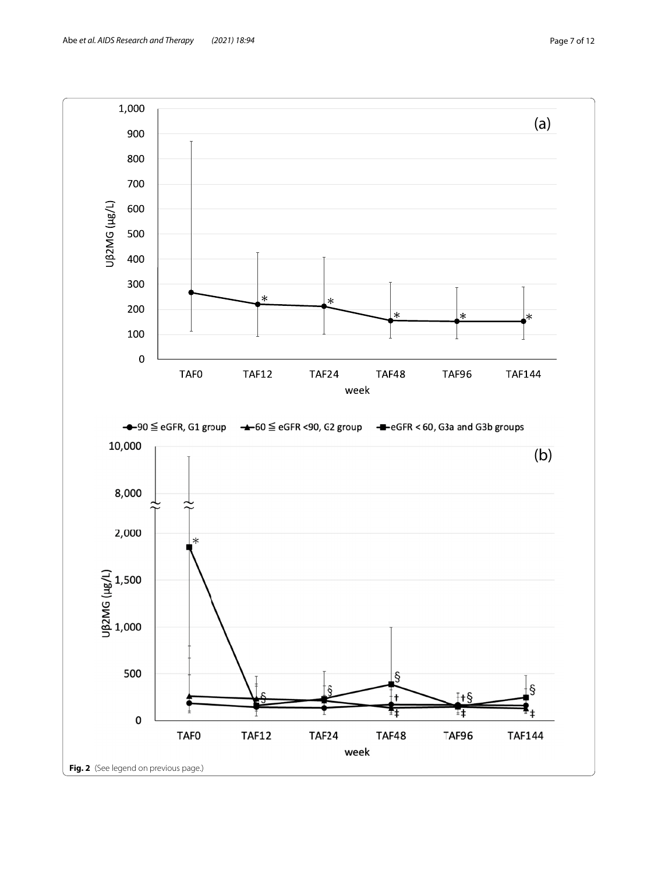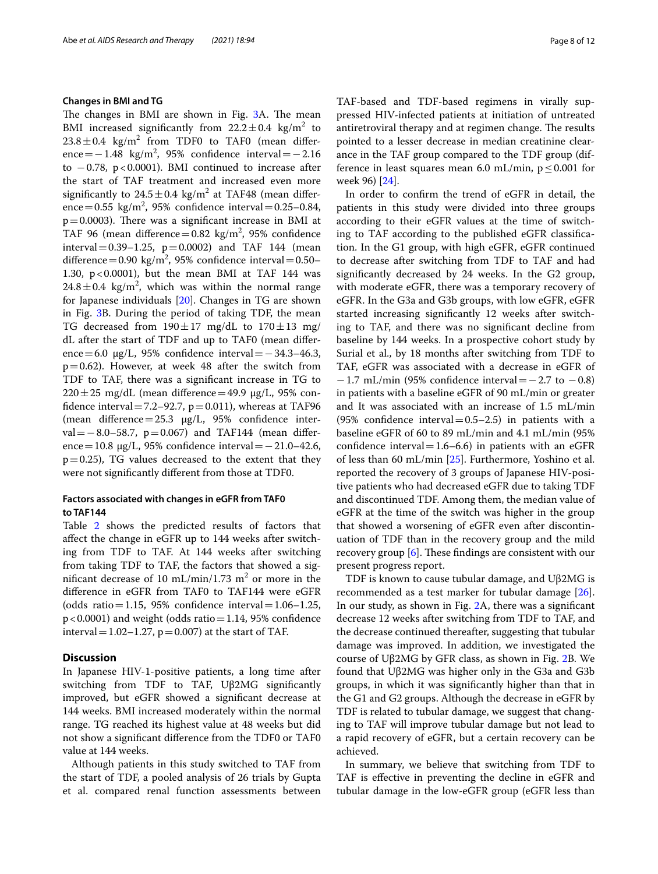## **Changes in BMI and TG**

The changes in BMI are shown in Fig. [3](#page-8-0)A. The mean BMI increased significantly from  $22.2 \pm 0.4$  kg/m<sup>2</sup> to  $23.8 \pm 0.4$  kg/m<sup>2</sup> from TDF0 to TAF0 (mean difference =  $-1.48 \text{ kg/m}^2$ , 95% confidence interval =  $-2.16$ to  $-0.78$ , p<0.0001). BMI continued to increase after the start of TAF treatment and increased even more significantly to  $24.5 \pm 0.4$  kg/m<sup>2</sup> at TAF48 (mean difference =  $0.55 \text{ kg/m}^2$ , 95% confidence interval =  $0.25 - 0.84$ ,  $p=0.0003$ ). There was a significant increase in BMI at TAF 96 (mean difference  $= 0.82 \text{ kg/m}^2$ , 95% confidence interval =  $0.39-1.25$ ,  $p = 0.0002$ ) and TAF 144 (mean difference =  $0.90 \text{ kg/m}^2$ , 95% confidence interval =  $0.50-$ 1.30,  $p < 0.0001$ ), but the mean BMI at TAF 144 was  $24.8 \pm 0.4$  kg/m<sup>2</sup>, which was within the normal range for Japanese individuals [\[20\]](#page-10-19). Changes in TG are shown in Fig. [3](#page-8-0)B. During the period of taking TDF, the mean TG decreased from  $190 \pm 17$  mg/dL to  $170 \pm 13$  mg/ dL after the start of TDF and up to TAF0 (mean diference=6.0  $\mu$ g/L, 95% confidence interval=−34.3–46.3,  $p=0.62$ ). However, at week 48 after the switch from TDF to TAF, there was a signifcant increase in TG to  $220 \pm 25$  mg/dL (mean difference=49.9  $\mu$ g/L, 95% confidence interval =  $7.2-92.7$ ,  $p=0.011$ ), whereas at TAF96 (mean difference= $25.3 \mu g/L$ , 95% confidence interval =  $-8.0-58.7$ , p = 0.067) and TAF144 (mean difference=10.8  $\mu$ g/L, 95% confidence interval=−21.0–42.6,  $p=0.25$ ), TG values decreased to the extent that they were not signifcantly diferent from those at TDF0.

# **Factors associated with changes in eGFR from TAF0 to TAF144**

Table [2](#page-9-0) shows the predicted results of factors that afect the change in eGFR up to 144 weeks after switching from TDF to TAF. At 144 weeks after switching from taking TDF to TAF, the factors that showed a significant decrease of 10 mL/min/1.73  $m<sup>2</sup>$  or more in the diference in eGFR from TAF0 to TAF144 were eGFR (odds ratio=1.15, 95% confidence interval=1.06–1.25,  $p < 0.0001$ ) and weight (odds ratio = 1.14, 95% confidence interval =  $1.02-1.27$ , p = 0.007) at the start of TAF.

# **Discussion**

In Japanese HIV-1-positive patients, a long time after switching from TDF to TAF, Uβ2MG signifcantly improved, but eGFR showed a signifcant decrease at 144 weeks. BMI increased moderately within the normal range. TG reached its highest value at 48 weeks but did not show a signifcant diference from the TDF0 or TAF0 value at 144 weeks.

Although patients in this study switched to TAF from the start of TDF, a pooled analysis of 26 trials by Gupta et al. compared renal function assessments between TAF-based and TDF-based regimens in virally suppressed HIV-infected patients at initiation of untreated antiretroviral therapy and at regimen change. The results pointed to a lesser decrease in median creatinine clearance in the TAF group compared to the TDF group (difference in least squares mean 6.0 mL/min,  $p \le 0.001$  for week 96) [\[24](#page-10-23)].

In order to confrm the trend of eGFR in detail, the patients in this study were divided into three groups according to their eGFR values at the time of switching to TAF according to the published eGFR classifcation. In the G1 group, with high eGFR, eGFR continued to decrease after switching from TDF to TAF and had signifcantly decreased by 24 weeks. In the G2 group, with moderate eGFR, there was a temporary recovery of eGFR. In the G3a and G3b groups, with low eGFR, eGFR started increasing signifcantly 12 weeks after switching to TAF, and there was no signifcant decline from baseline by 144 weeks. In a prospective cohort study by Surial et al., by 18 months after switching from TDF to TAF, eGFR was associated with a decrease in eGFR of  $-1.7$  mL/min (95% confidence interval =  $-2.7$  to  $-0.8$ ) in patients with a baseline eGFR of 90 mL/min or greater and It was associated with an increase of 1.5 mL/min (95% confidence interval  $=$  0.5–2.5) in patients with a baseline eGFR of 60 to 89 mL/min and 4.1 mL/min (95% confidence interval =  $1.6-6.6$ ) in patients with an eGFR of less than 60 mL/min [\[25\]](#page-11-0). Furthermore, Yoshino et al. reported the recovery of 3 groups of Japanese HIV-positive patients who had decreased eGFR due to taking TDF and discontinued TDF. Among them, the median value of eGFR at the time of the switch was higher in the group that showed a worsening of eGFR even after discontinuation of TDF than in the recovery group and the mild recovery group  $[6]$  $[6]$ . These findings are consistent with our present progress report.

TDF is known to cause tubular damage, and Uβ2MG is recommended as a test marker for tubular damage [\[26](#page-11-1)]. In our study, as shown in Fig. [2](#page-5-0)A, there was a signifcant decrease 12 weeks after switching from TDF to TAF, and the decrease continued thereafter, suggesting that tubular damage was improved. In addition, we investigated the course of Uβ2MG by GFR class, as shown in Fig. [2B](#page-5-0). We found that Uβ2MG was higher only in the G3a and G3b groups, in which it was signifcantly higher than that in the G1 and G2 groups. Although the decrease in eGFR by TDF is related to tubular damage, we suggest that changing to TAF will improve tubular damage but not lead to a rapid recovery of eGFR, but a certain recovery can be achieved.

In summary, we believe that switching from TDF to TAF is efective in preventing the decline in eGFR and tubular damage in the low-eGFR group (eGFR less than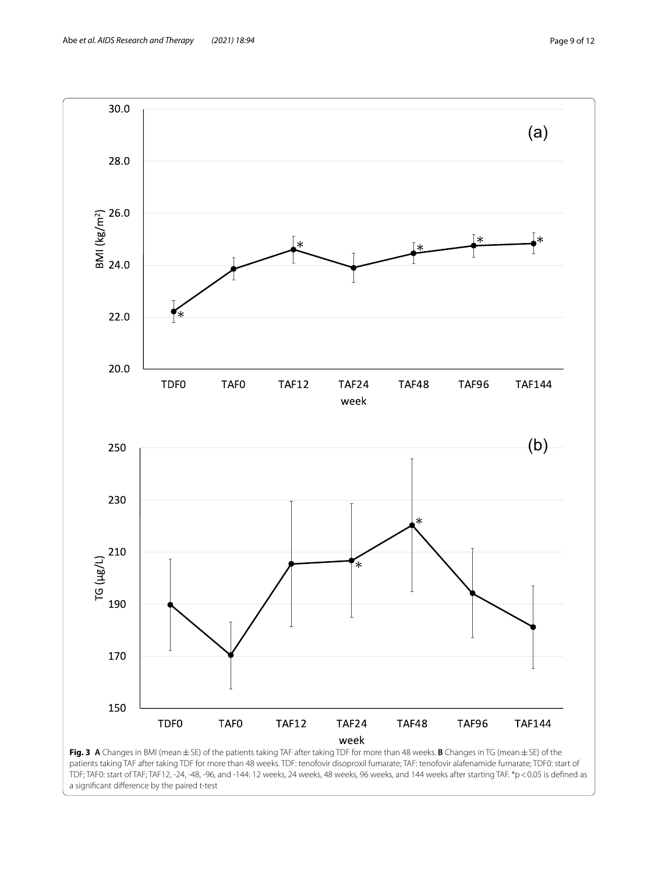



<span id="page-8-0"></span>a signifcant diference by the paired t-test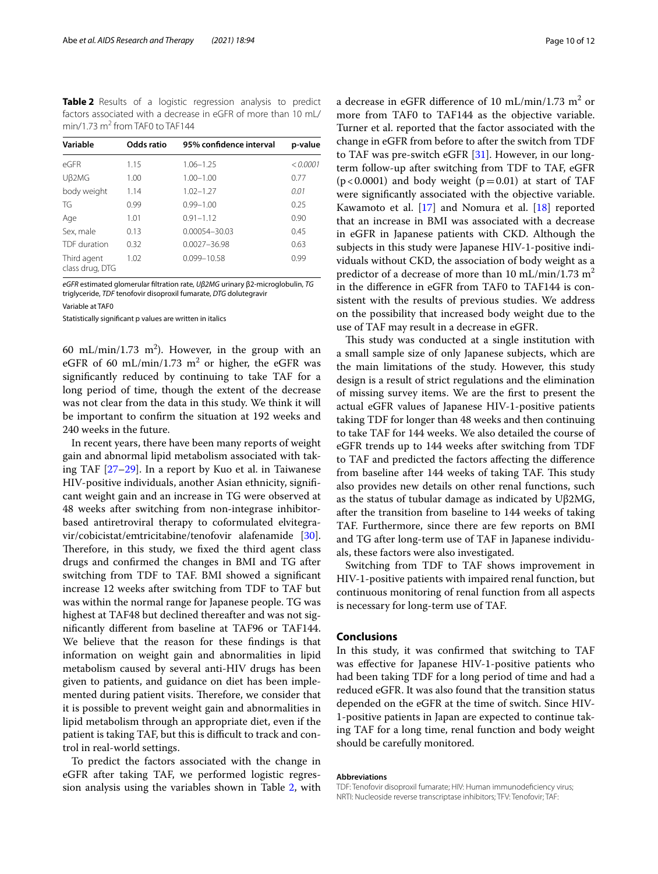<span id="page-9-0"></span>**Table 2** Results of a logistic regression analysis to predict factors associated with a decrease in eGFR of more than 10 mL/  $min/1.73 m<sup>2</sup>$  from TAF0 to TAF144

| Variable                       | Odds ratio | 95% confidence interval | p-value  |
|--------------------------------|------------|-------------------------|----------|
| $\overline{P}$ GFR             | 1.15       | $1.06 - 1.25$           | < 0.0001 |
| Uß2MG                          | 1.00       | $1.00 - 1.00$           | 0.77     |
| body weight                    | 1.14       | $1.02 - 1.27$           | 0.01     |
| TG                             | 0.99       | $0.99 - 1.00$           | 0.25     |
| Age                            | 1.01       | $0.91 - 1.12$           | 0.90     |
| Sex, male                      | 0.13       | 0.00054-30.03           | 0.45     |
| TDF duration                   | 0.32       | $0.0027 - 36.98$        | 0.63     |
| Third agent<br>class drug, DTG | 1.02       | 0.099-10.58             | 0.99     |

*eGFR* estimated glomerular fltration rate, *Uβ2MG* urinary β2-microglobulin, *TG* triglyceride, *TDF* tenofovir disoproxil fumarate, *DTG* dolutegravir

Variable at TAF0

Statistically signifcant p values are written in italics

60 mL/min/1.73 m<sup>2</sup>). However, in the group with an eGFR of 60 mL/min/1.73  $m^2$  or higher, the eGFR was signifcantly reduced by continuing to take TAF for a long period of time, though the extent of the decrease was not clear from the data in this study. We think it will be important to confrm the situation at 192 weeks and 240 weeks in the future.

In recent years, there have been many reports of weight gain and abnormal lipid metabolism associated with taking TAF [\[27](#page-11-2)[–29\]](#page-11-3). In a report by Kuo et al. in Taiwanese HIV-positive individuals, another Asian ethnicity, signifcant weight gain and an increase in TG were observed at 48 weeks after switching from non-integrase inhibitorbased antiretroviral therapy to coformulated elvitegravir/cobicistat/emtricitabine/tenofovir alafenamide [\[30](#page-11-4)]. Therefore, in this study, we fixed the third agent class drugs and confrmed the changes in BMI and TG after switching from TDF to TAF. BMI showed a signifcant increase 12 weeks after switching from TDF to TAF but was within the normal range for Japanese people. TG was highest at TAF48 but declined thereafter and was not signifcantly diferent from baseline at TAF96 or TAF144. We believe that the reason for these fndings is that information on weight gain and abnormalities in lipid metabolism caused by several anti-HIV drugs has been given to patients, and guidance on diet has been implemented during patient visits. Therefore, we consider that it is possible to prevent weight gain and abnormalities in lipid metabolism through an appropriate diet, even if the patient is taking TAF, but this is difficult to track and control in real-world settings.

To predict the factors associated with the change in eGFR after taking TAF, we performed logistic regression analysis using the variables shown in Table [2,](#page-9-0) with

a decrease in eGFR difference of 10 mL/min/1.73 m<sup>2</sup> or more from TAF0 to TAF144 as the objective variable. Turner et al. reported that the factor associated with the change in eGFR from before to after the switch from TDF to TAF was pre-switch eGFR [\[31\]](#page-11-5). However, in our longterm follow-up after switching from TDF to TAF, eGFR  $(p<0.0001)$  and body weight  $(p=0.01)$  at start of TAF were signifcantly associated with the objective variable. Kawamoto et al. [[17\]](#page-10-16) and Nomura et al. [[18](#page-10-17)] reported that an increase in BMI was associated with a decrease in eGFR in Japanese patients with CKD. Although the subjects in this study were Japanese HIV-1-positive individuals without CKD, the association of body weight as a predictor of a decrease of more than 10 mL/min/1.73 m<sup>2</sup> in the diference in eGFR from TAF0 to TAF144 is consistent with the results of previous studies. We address on the possibility that increased body weight due to the use of TAF may result in a decrease in eGFR.

This study was conducted at a single institution with a small sample size of only Japanese subjects, which are the main limitations of the study. However, this study design is a result of strict regulations and the elimination of missing survey items. We are the frst to present the actual eGFR values of Japanese HIV-1-positive patients taking TDF for longer than 48 weeks and then continuing to take TAF for 144 weeks. We also detailed the course of eGFR trends up to 144 weeks after switching from TDF to TAF and predicted the factors afecting the diference from baseline after 144 weeks of taking TAF. This study also provides new details on other renal functions, such as the status of tubular damage as indicated by Uβ2MG, after the transition from baseline to 144 weeks of taking TAF. Furthermore, since there are few reports on BMI and TG after long-term use of TAF in Japanese individuals, these factors were also investigated.

Switching from TDF to TAF shows improvement in HIV-1-positive patients with impaired renal function, but continuous monitoring of renal function from all aspects is necessary for long-term use of TAF.

# **Conclusions**

In this study, it was confrmed that switching to TAF was efective for Japanese HIV-1-positive patients who had been taking TDF for a long period of time and had a reduced eGFR. It was also found that the transition status depended on the eGFR at the time of switch. Since HIV-1-positive patients in Japan are expected to continue taking TAF for a long time, renal function and body weight should be carefully monitored.

#### **Abbreviations**

TDF: Tenofovir disoproxil fumarate; HIV: Human immunodefciency virus; NRTI: Nucleoside reverse transcriptase inhibitors; TFV: Tenofovir; TAF: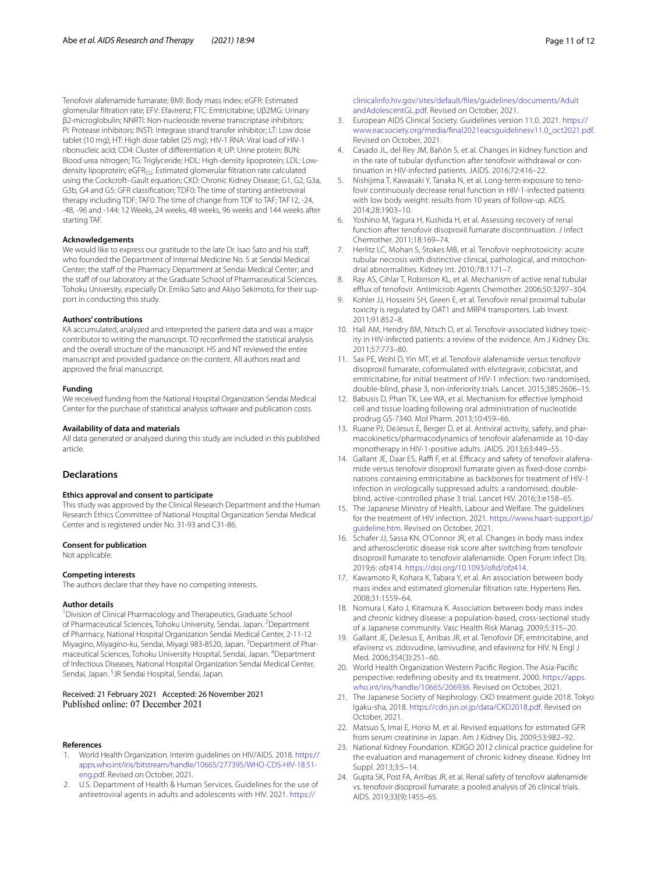Tenofovir alafenamide fumarate; BMI: Body mass index; eGFR: Estimated glomerular fltration rate; EFV: Efavirenz; FTC: Emtricitabine; Uβ2MG: Urinary β2-microglobulin; NNRTI: Non-nucleoside reverse transcriptase inhibitors; PI: Protease inhibitors; INSTI: Integrase strand transfer inhibitor; LT: Low dose tablet (10 mg); HT: High dose tablet (25 mg); HIV-1 RNA: Viral load of HIV-1 ribonucleic acid; CD4: Cluster of diferentiation 4; UP: Urine protein; BUN: Blood urea nitrogen; TG: Triglyceride; HDL: High-density lipoprotein; LDL: Lowdensity lipoprotein; eGFR<sub>CG</sub>: Estimated glomerular filtration rate calculated using the Cockcroft–Gault equation; CKD: Chronic Kidney Disease; G1, G2, G3a, G3b, G4 and G5: GFR classifcation; TDF0: The time of starting antiretroviral therapy including TDF; TAF0: The time of change from TDF to TAF; TAF12, -24, -48, -96 and -144: 12 Weeks, 24 weeks, 48 weeks, 96 weeks and 144 weeks after starting TAF.

#### **Acknowledgements**

We would like to express our gratitude to the late Dr. Isao Sato and his staff, who founded the Department of Internal Medicine No. 5 at Sendai Medical Center; the staff of the Pharmacy Department at Sendai Medical Center; and the staff of our laboratory at the Graduate School of Pharmaceutical Sciences, Tohoku University, especially Dr. Emiko Sato and Akiyo Sekimoto, for their support in conducting this study.

#### **Authors' contributions**

KA accumulated, analyzed and interpreted the patient data and was a major contributor to writing the manuscript. TO reconfrmed the statistical analysis and the overall structure of the manuscript. HS and NT reviewed the entire manuscript and provided guidance on the content. All authors read and approved the fnal manuscript.

#### **Funding**

We received funding from the National Hospital Organization Sendai Medical Center for the purchase of statistical analysis software and publication costs.

#### **Availability of data and materials**

All data generated or analyzed during this study are included in this published article.

## **Declarations**

#### **Ethics approval and consent to participate**

This study was approved by the Clinical Research Department and the Human Research Ethics Committee of National Hospital Organization Sendai Medical Center and is registered under No. 31-93 and C31-86.

#### **Consent for publication**

Not applicable.

## **Competing interests**

The authors declare that they have no competing interests.

#### **Author details**

<sup>1</sup> Division of Clinical Pharmacology and Therapeutics, Graduate School of Pharmaceutical Sciences, Tohoku University, Sendai, Japan. <sup>2</sup> Department of Pharmacy, National Hospital Organization Sendai Medical Center, 2-11-12 Miyagino, Miyagino-ku, Sendai, Miyagi 983-8520, Japan. <sup>3</sup>Department of Pharmaceutical Sciences, Tohoku University Hospital, Sendai, Japan. 4 Department of Infectious Diseases, National Hospital Organization Sendai Medical Center, Sendai, Japan. <sup>5</sup>JR Sendai Hospital, Sendai, Japan.

#### Received: 21 February 2021 Accepted: 26 November 2021 Published online: 07 December 2021

#### **References**

- <span id="page-10-0"></span>1. World Health Organization. Interim guidelines on HIV/AIDS*.* 2018. [https://](https://apps.who.int/iris/bitstream/handle/10665/277395/WHO-CDS-HIV-18.51-eng.pdf) [apps.who.int/iris/bitstream/handle/10665/277395/WHO-CDS-HIV-18.51](https://apps.who.int/iris/bitstream/handle/10665/277395/WHO-CDS-HIV-18.51-eng.pdf) [eng.pdf.](https://apps.who.int/iris/bitstream/handle/10665/277395/WHO-CDS-HIV-18.51-eng.pdf) Revised on October, 2021.
- <span id="page-10-1"></span>2. U.S. Department of Health & Human Services. Guidelines for the use of antiretroviral agents in adults and adolescents with HIV. 2021. [https://](https://clinicalinfo.hiv.gov/sites/default/files/guidelines/documents/AdultandAdolescentGL.pdf)

[clinicalinfo.hiv.gov/sites/default/fles/guidelines/documents/Adult](https://clinicalinfo.hiv.gov/sites/default/files/guidelines/documents/AdultandAdolescentGL.pdf) [andAdolescentGL.pdf](https://clinicalinfo.hiv.gov/sites/default/files/guidelines/documents/AdultandAdolescentGL.pdf). Revised on October, 2021.

- <span id="page-10-2"></span>3. European AIDS Clinical Society. Guidelines version 11.0. 2021. [https://](https://www.eacsociety.org/media/final2021eacsguidelinesv11.0_oct2021.pdf) [www.eacsociety.org/media/fnal2021eacsguidelinesv11.0\\_oct2021.pdf](https://www.eacsociety.org/media/final2021eacsguidelinesv11.0_oct2021.pdf). Revised on October, 2021.
- <span id="page-10-3"></span>4. Casado JL, del Rey JM, Bañón S, et al. Changes in kidney function and in the rate of tubular dysfunction after tenofovir withdrawal or continuation in HIV-infected patients. JAIDS. 2016;72:416–22.
- <span id="page-10-4"></span>5. Nishijima T, Kawasaki Y, Tanaka N, et al. Long-term exposure to tenofovir continuously decrease renal function in HIV-1-infected patients with low body weight: results from 10 years of follow-up. AIDS. 2014;28:1903–10.
- <span id="page-10-5"></span>6. Yoshino M, Yagura H, Kushida H, et al. Assessing recovery of renal function after tenofovir disoproxil fumarate discontinuation. J Infect Chemother. 2011;18:169–74.
- <span id="page-10-6"></span>7. Herlitz LC, Mohan S, Stokes MB, et al. Tenofovir nephrotoxicity: acute tubular necrosis with distinctive clinical, pathological, and mitochondrial abnormalities. Kidney Int. 2010;78:1171–7.
- <span id="page-10-7"></span>8. Ray AS, Cihlar T, Robinson KL, et al. Mechanism of active renal tubular efflux of tenofovir. Antimicrob Agents Chemother. 2006;50:3297-304.
- <span id="page-10-8"></span>9. Kohler JJ, Hosseini SH, Green E, et al. Tenofovir renal proximal tubular toxicity is regulated by OAT1 and MRP4 transporters. Lab Invest. 2011;91:852–8.
- <span id="page-10-9"></span>10. Hall AM, Hendry BM, Nitsch D, et al. Tenofovir-associated kidney toxicity in HIV-infected patients: a review of the evidence. Am J Kidney Dis. 2011;57:773–80.
- <span id="page-10-10"></span>11. Sax PE, Wohl D, Yin MT, et al. Tenofovir alafenamide versus tenofovir disoproxil fumarate, coformulated with elvitegravir, cobicistat, and emtricitabine, for initial treatment of HIV-1 infection: two randomised, double-blind, phase 3, non-inferiority trials. Lancet. 2015;385:2606–15.
- <span id="page-10-11"></span>12. Babusis D, Phan TK, Lee WA, et al. Mechanism for efective lymphoid cell and tissue loading following oral administration of nucleotide prodrug GS-7340. Mol Pharm. 2013;10:459–66.
- <span id="page-10-12"></span>13. Ruane PJ, DeJesus E, Berger D, et al. Antiviral activity, safety, and pharmacokinetics/pharmacodynamics of tenofovir alafenamide as 10-day monotherapy in HIV-1-positive adults. JAIDS. 2013;63:449–55.
- <span id="page-10-13"></span>14. Gallant JE, Daar ES, Raffi F, et al. Efficacy and safety of tenofovir alafenamide versus tenofovir disoproxil fumarate given as fxed-dose combinations containing emtricitabine as backbones for treatment of HIV-1 infection in virologically suppressed adults: a randomised, doubleblind, active-controlled phase 3 trial. Lancet HIV. 2016;3:e158–65.
- <span id="page-10-14"></span>15. The Japanese Ministry of Health, Labour and Welfare. The guidelines for the treatment of HIV infection. 2021. [https://www.haart-support.jp/](https://www.haart-support.jp/guideline.htm) [guideline.htm.](https://www.haart-support.jp/guideline.htm) Revised on October, 2021.
- <span id="page-10-15"></span>16. Schafer JJ, Sassa KN, O'Connor JR, et al. Changes in body mass index and atherosclerotic disease risk score after switching from tenofovir disoproxil fumarate to tenofovir alafenamide. Open Forum Infect Dis. 2019;6: ofz414. [https://doi.org/10.1093/ofd/ofz414.](https://doi.org/10.1093/ofid/ofz414)
- <span id="page-10-16"></span>17. Kawamoto R, Kohara K, Tabara Y, et al. An association between body mass index and estimated glomerular fltration rate. Hypertens Res. 2008;31:1559–64.
- <span id="page-10-17"></span>18. Nomura I, Kato J, Kitamura K. Association between body mass index and chronic kidney disease: a population-based, cross-sectional study of a Japanese community. Vasc Health Risk Manag. 2009;5:315–20.
- <span id="page-10-18"></span>19. Gallant JE, DeJesus E, Arribas JR, et al. Tenofovir DF, emtricitabine, and efavirenz vs. zidovudine, lamivudine, and efavirenz for HIV. N Engl J Med. 2006;354(3):251–60.
- <span id="page-10-19"></span>20. World Health Organization Western Pacifc Region. The Asia-Pacifc perspective: redefning obesity and its treatment. 2000. [https://apps.](https://apps.who.int/iris/handle/10665/206936) [who.int/iris/handle/10665/206936](https://apps.who.int/iris/handle/10665/206936). Revised on October, 2021.
- <span id="page-10-20"></span>21. The Japanese Society of Nephrology. CKD treatment guide 2018. Tokyo Igaku-sha, 2018. [https://cdn.jsn.or.jp/data/CKD2018.pdf.](https://cdn.jsn.or.jp/data/CKD2018.pdf) Revised on October, 2021.
- <span id="page-10-21"></span>22. Matsuo S, Imai E, Horio M, et al. Revised equations for estimated GFR from serum creatinine in Japan. Am J Kidney Dis. 2009;53:982–92.
- <span id="page-10-22"></span>23. National Kidney Foundation. KDIGO 2012 clinical practice guideline for the evaluation and management of chronic kidney disease. Kidney Int Suppl. 2013;3:5–14.
- <span id="page-10-23"></span>24. Gupta SK, Post FA, Arribas JR, et al. Renal safety of tenofovir alafenamide vs. tenofovir disoproxil fumarate: a pooled analysis of 26 clinical trials. AIDS. 2019;33(9):1455–65.